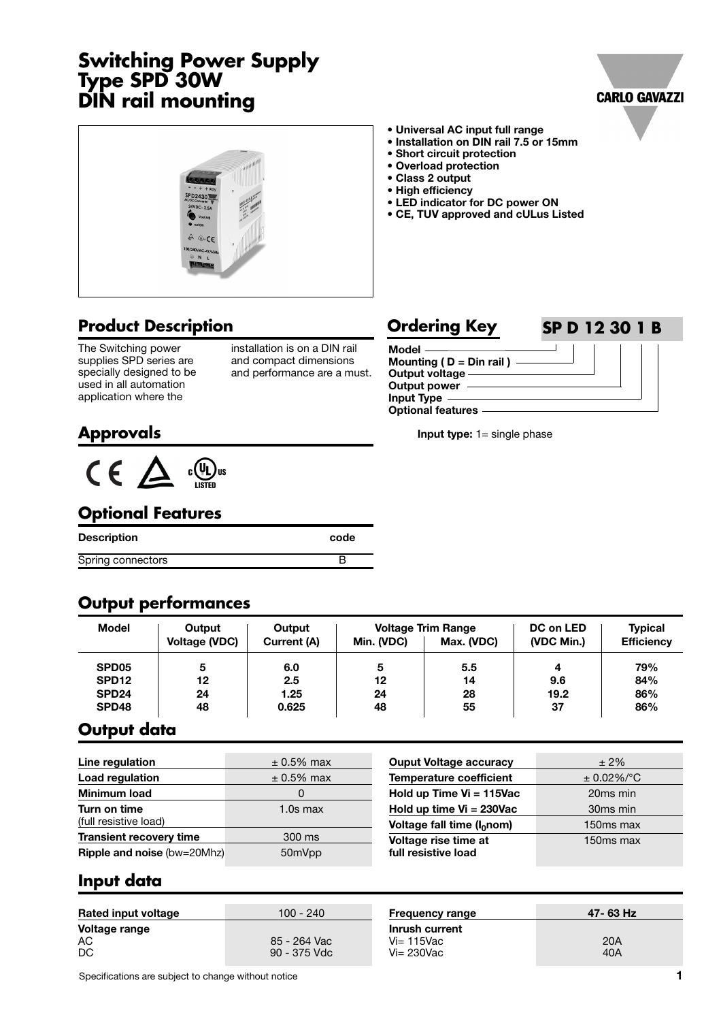# **Switching Power Supply Type SPD 30W DIN rail mounting**





## **Product Description**

The Switching power supplies SPD series are specially designed to be used in all automation application where the

installation is on a DIN rail and compact dimensions and performance are a must.

#### **Ordering Key SP D 12 30 1 B**



**Input type:** 1= single phase

# **Approvals**



### **Optional Features**

| <b>Description</b> | code |
|--------------------|------|
| Spring connectors  |      |

#### **Output performances**

| <b>Model</b>      | Output<br><b>Voltage (VDC)</b> | Output<br>Current (A) | Min. (VDC) | <b>Voltage Trim Range</b><br>Max. (VDC) | DC on LED<br>(VDC Min.) | <b>Typical</b><br><b>Efficiency</b> |
|-------------------|--------------------------------|-----------------------|------------|-----------------------------------------|-------------------------|-------------------------------------|
| SPD <sub>05</sub> | 5                              | 6.0                   | 5          | 5.5                                     |                         | 79%                                 |
| SPD <sub>12</sub> | 12                             | 2.5                   | 12         | 14                                      | 9.6                     | 84%                                 |
| SPD <sub>24</sub> | 24                             | 1.25                  | 24         | 28                                      | 19.2                    | 86%                                 |
| SPD48             | 48                             | 0.625                 | 48         | 55                                      | 37                      | 86%                                 |

#### **Output data**

| $\pm$ 0.5% max | <b>Ouput Voltage accuracy</b>      | $±2\%$                                                         |
|----------------|------------------------------------|----------------------------------------------------------------|
| $\pm$ 0.5% max | <b>Temperature coefficient</b>     | $\pm$ 0.02%/°C                                                 |
| 0              | Hold up Time $Vi = 115$ Vac        | 20 <sub>ms</sub> min                                           |
| $1.0s$ max     | Hold up time $Vi = 230Vac$         | 30 <sub>ms</sub> min                                           |
|                |                                    | 150ms max                                                      |
| 300 ms         |                                    | 150 <sub>ms</sub> max                                          |
| 50mVpp         | full resistive load                |                                                                |
|                | <b>Ripple and noise (bw=20Mhz)</b> | Voltage fall time (I <sub>0</sub> nom)<br>Voltage rise time at |

#### **Input data**

| Rated input voltage | 100 - 240    | <b>Frequency range</b>           | 47-63 Hz |
|---------------------|--------------|----------------------------------|----------|
| Voltage range<br>AC | 85 - 264 Vac | Inrush current<br>$Vi = 115$ Vac | 20A      |
| DC                  | 90 - 375 Vdc | $Vi = 230$ Vac                   | 40A      |

Specifications are subject to change without notice **1**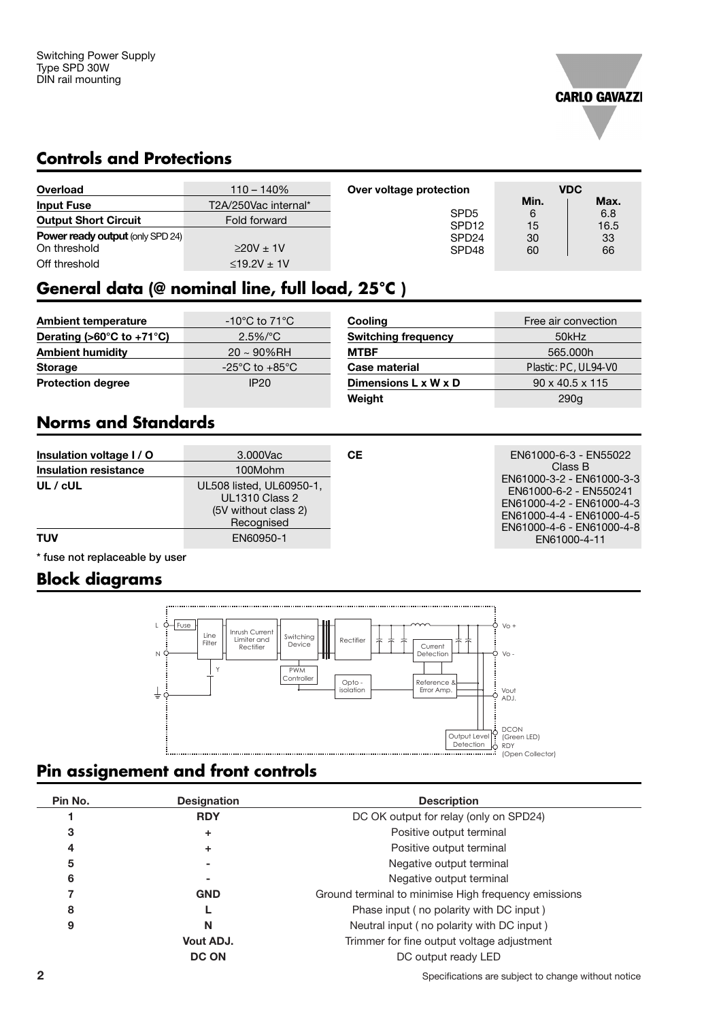

#### **Controls and Protections**

| Overload                                | $110 - 140%$          | Over voltage protection               |         | <b>VDC</b>  |
|-----------------------------------------|-----------------------|---------------------------------------|---------|-------------|
| <b>Input Fuse</b>                       | T2A/250Vac internal*  |                                       | Min.    | Max.        |
| <b>Output Short Circuit</b>             | Fold forward          | SPD <sub>5</sub><br>SPD <sub>12</sub> | 6<br>15 | 6.8<br>16.5 |
| <b>Power ready output (only SPD 24)</b> |                       | SPD <sub>24</sub>                     | 30      | 33          |
| On threshold                            | $220V \pm 1V$         | SPD <sub>48</sub>                     | 60      | 66          |
| Off threshold                           | $\leq$ 19.2V $\pm$ 1V |                                       |         |             |

# **General data (@ nominal line, full load, 25°C )**

| <b>Ambient temperature</b>                      | -10 $^{\circ}$ C to 71 $^{\circ}$ C | Cooling                          | Free air convection         |
|-------------------------------------------------|-------------------------------------|----------------------------------|-----------------------------|
| Derating ( $>60^{\circ}$ C to +71 $^{\circ}$ C) | $2.5\%/°C$                          | <b>Switching frequency</b>       | 50kHz                       |
| <b>Ambient humidity</b>                         | $20 \sim 90\%$ RH                   | <b>MTBF</b>                      | 565,000h                    |
| <b>Storage</b>                                  | $-25^{\circ}$ C to $+85^{\circ}$ C  | Case material                    | Plastic: PC, UL94-V0        |
| <b>Protection degree</b>                        | <b>IP20</b>                         | Dimensions $L \times W \times D$ | $90 \times 40.5 \times 115$ |
|                                                 |                                     | Weight                           | 290g                        |

# **Norms and Standards**

| Insulation voltage I / O     | 3.000Vac                                                                                | CЕ |
|------------------------------|-----------------------------------------------------------------------------------------|----|
| <b>Insulation resistance</b> | 100Mohm                                                                                 |    |
| UL / cUL                     | UL508 listed, UL60950-1,<br><b>UL1310 Class 2</b><br>(5V without class 2)<br>Recognised |    |
| TUV                          | EN60950-1                                                                               |    |

**CE** EN61000-6-3 - EN55022 Class B EN61000-3-2 - EN61000-3-3 EN61000-6-2 - EN550241 EN61000-4-2 - EN61000-4-3 EN61000-4-4 - EN61000-4-5 EN61000-4-6 - EN61000-4-8 EN61000-4-11

**\* fuse not replaceable by user**

#### **Block diagrams**



#### **Pin assignement and front controls**

| Pin No. | <b>Designation</b> | <b>Description</b>                                   |
|---------|--------------------|------------------------------------------------------|
|         | <b>RDY</b>         | DC OK output for relay (only on SPD24)               |
| 3       | ٠                  | Positive output terminal                             |
| 4       | ٠                  | Positive output terminal                             |
| 5       |                    | Negative output terminal                             |
| 6       |                    | Negative output terminal                             |
|         | <b>GND</b>         | Ground terminal to minimise High frequency emissions |
| 8       |                    | Phase input (no polarity with DC input)              |
| 9       | N                  | Neutral input (no polarity with DC input)            |
|         | Vout ADJ.          | Trimmer for fine output voltage adjustment           |
|         | <b>DC ON</b>       | DC output ready LED                                  |